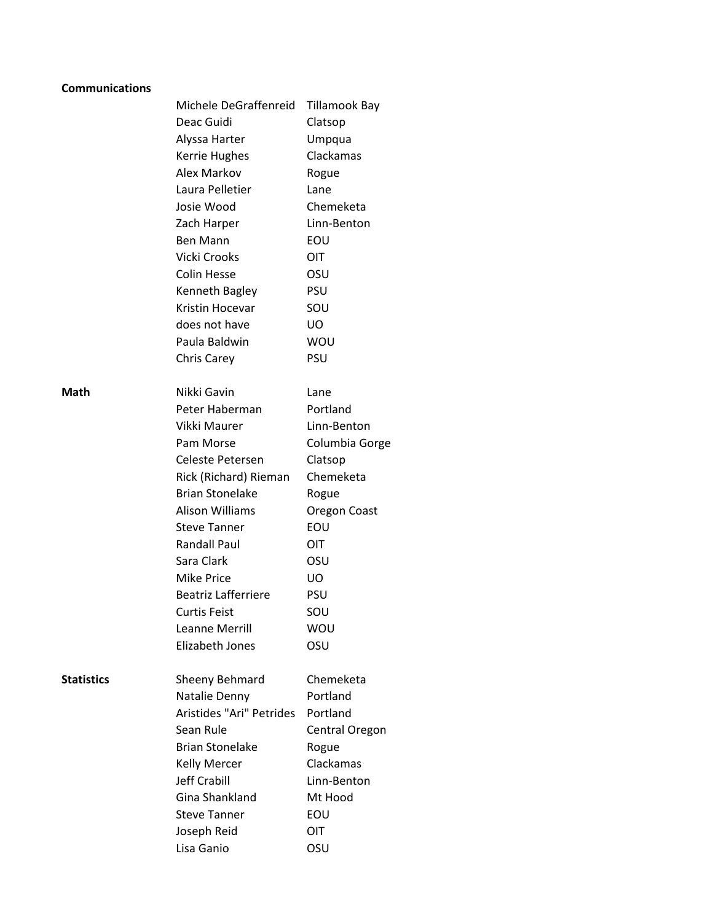| <b>Communications</b> |                          |                      |
|-----------------------|--------------------------|----------------------|
|                       | Michele DeGraffenreid    | <b>Tillamook Bay</b> |
|                       | Deac Guidi               | Clatsop              |
|                       | Alyssa Harter            | Umpqua               |
|                       | <b>Kerrie Hughes</b>     | Clackamas            |
|                       | Alex Markov              | Rogue                |
|                       | Laura Pelletier          | Lane                 |
|                       | Josie Wood               | Chemeketa            |
|                       | Zach Harper              | Linn-Benton          |
|                       | <b>Ben Mann</b>          | EOU                  |
|                       | Vicki Crooks             | OIT                  |
|                       | <b>Colin Hesse</b>       | OSU                  |
|                       | Kenneth Bagley           | <b>PSU</b>           |
|                       | Kristin Hocevar          | SOU                  |
|                       | does not have            | UO                   |
|                       | Paula Baldwin            | <b>WOU</b>           |
|                       | <b>Chris Carey</b>       | PSU                  |
|                       |                          |                      |
| Math                  | Nikki Gavin              | Lane                 |
|                       | Peter Haberman           | Portland             |
|                       | Vikki Maurer             | Linn-Benton          |
|                       | Pam Morse                | Columbia Gorge       |
|                       | Celeste Petersen         | Clatsop              |
|                       | Rick (Richard) Rieman    | Chemeketa            |
|                       | <b>Brian Stonelake</b>   | Rogue                |
|                       | Alison Williams          | Oregon Coast         |
|                       | <b>Steve Tanner</b>      | EOU                  |
|                       | <b>Randall Paul</b>      | <b>OIT</b>           |
|                       | Sara Clark               | OSU                  |
|                       | <b>Mike Price</b>        | UO.                  |
|                       | Beatriz Lafferriere      | PSU                  |
|                       | <b>Curtis Feist</b>      | SOU                  |
|                       | <b>Leanne Merrill</b>    | WOU                  |
|                       | Elizabeth Jones          | OSU                  |
| <b>Statistics</b>     | Sheeny Behmard           | Chemeketa            |
|                       | Natalie Denny            | Portland             |
|                       | Aristides "Ari" Petrides | Portland             |
|                       | Sean Rule                | Central Oregon       |
|                       | <b>Brian Stonelake</b>   | Rogue                |
|                       | <b>Kelly Mercer</b>      | Clackamas            |
|                       | Jeff Crabill             | Linn-Benton          |
|                       | <b>Gina Shankland</b>    | Mt Hood              |
|                       | <b>Steve Tanner</b>      | EOU                  |
|                       | Joseph Reid              | <b>OIT</b>           |
|                       | Lisa Ganio               | OSU                  |